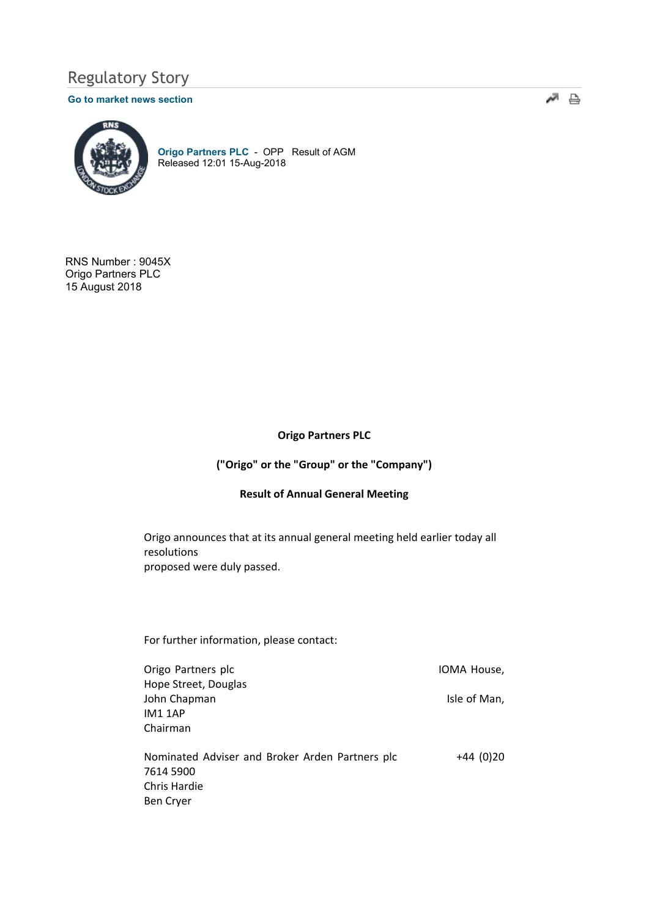# Regulatory Story

#### Go to market news section



Origo Partners PLC - OPP Result of AGM Released 12:01 15-Aug-2018

RNS Number : 9045X Origo Partners PLC 15 August 2018

## Origo Partners PLC

- 주

## ("Origo" or the "Group" or the "Company")

#### Result of Annual General Meeting

Origo announces that at its annual general meeting held earlier today all resolutions proposed were duly passed.

For further information, please contact:

Origo Partners plc **IOMA** House, Hope Street, Douglas John Chapman **Isle of Man**, IM1 1AP Chairman Nominated Adviser and Broker Arden Partners plc +44 (0)20 7614 5900 Chris Hardie Ben Cryer